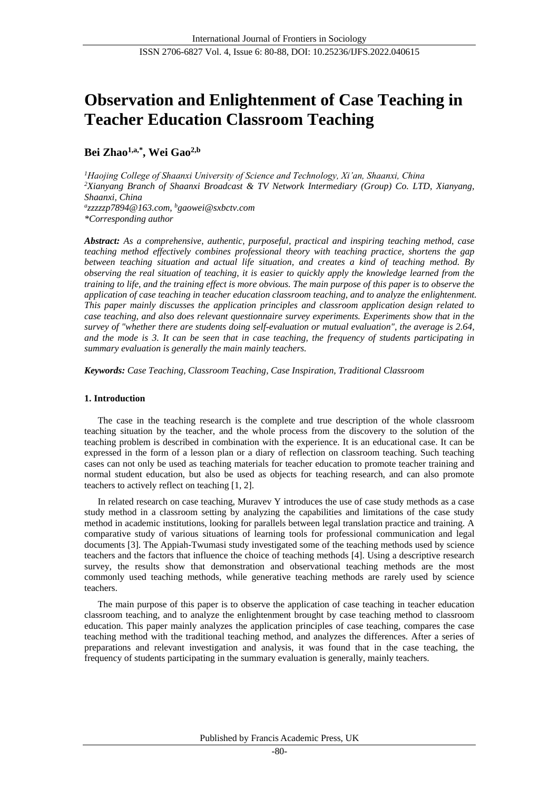# **Observation and Enlightenment of Case Teaching in Teacher Education Classroom Teaching**

# **Bei Zhao 1,a,\*, Wei Gao2,b**

*<sup>1</sup>Haojing College of Shaanxi University of Science and Technology, Xi'an, Shaanxi, China <sup>2</sup>Xianyang Branch of Shaanxi Broadcast & TV Network Intermediary (Group) Co. LTD, Xianyang, Shaanxi, China a zzzzzp7894@163.com, <sup>b</sup>gaowei@sxbctv.com \*Corresponding author*

*Abstract: As a comprehensive, authentic, purposeful, practical and inspiring teaching method, case teaching method effectively combines professional theory with teaching practice, shortens the gap between teaching situation and actual life situation, and creates a kind of teaching method. By observing the real situation of teaching, it is easier to quickly apply the knowledge learned from the training to life, and the training effect is more obvious. The main purpose of this paper is to observe the application of case teaching in teacher education classroom teaching, and to analyze the enlightenment. This paper mainly discusses the application principles and classroom application design related to case teaching, and also does relevant questionnaire survey experiments. Experiments show that in the survey of "whether there are students doing self-evaluation or mutual evaluation", the average is 2.64, and the mode is 3. It can be seen that in case teaching, the frequency of students participating in summary evaluation is generally the main mainly teachers.*

*Keywords: Case Teaching, Classroom Teaching, Case Inspiration, Traditional Classroom*

# **1. Introduction**

The case in the teaching research is the complete and true description of the whole classroom teaching situation by the teacher, and the whole process from the discovery to the solution of the teaching problem is described in combination with the experience. It is an educational case. It can be expressed in the form of a lesson plan or a diary of reflection on classroom teaching. Such teaching cases can not only be used as teaching materials for teacher education to promote teacher training and normal student education, but also be used as objects for teaching research, and can also promote teachers to actively reflect on teaching [1, 2].

In related research on case teaching, Muravev Y introduces the use of case study methods as a case study method in a classroom setting by analyzing the capabilities and limitations of the case study method in academic institutions, looking for parallels between legal translation practice and training. A comparative study of various situations of learning tools for professional communication and legal documents [3]. The Appiah-Twumasi study investigated some of the teaching methods used by science teachers and the factors that influence the choice of teaching methods [4]. Using a descriptive research survey, the results show that demonstration and observational teaching methods are the most commonly used teaching methods, while generative teaching methods are rarely used by science teachers.

The main purpose of this paper is to observe the application of case teaching in teacher education classroom teaching, and to analyze the enlightenment brought by case teaching method to classroom education. This paper mainly analyzes the application principles of case teaching, compares the case teaching method with the traditional teaching method, and analyzes the differences. After a series of preparations and relevant investigation and analysis, it was found that in the case teaching, the frequency of students participating in the summary evaluation is generally, mainly teachers.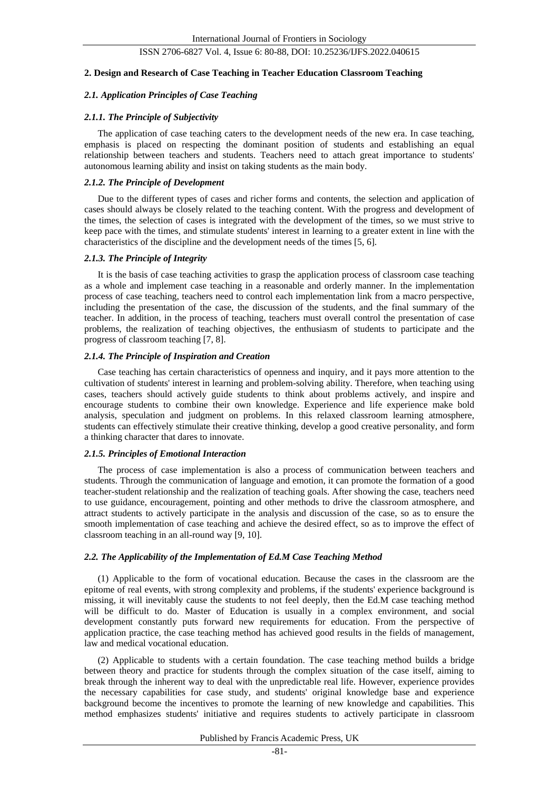#### **2. Design and Research of Case Teaching in Teacher Education Classroom Teaching**

# *2.1. Application Principles of Case Teaching*

# *2.1.1. The Principle of Subjectivity*

The application of case teaching caters to the development needs of the new era. In case teaching, emphasis is placed on respecting the dominant position of students and establishing an equal relationship between teachers and students. Teachers need to attach great importance to students' autonomous learning ability and insist on taking students as the main body.

# *2.1.2. The Principle of Development*

Due to the different types of cases and richer forms and contents, the selection and application of cases should always be closely related to the teaching content. With the progress and development of the times, the selection of cases is integrated with the development of the times, so we must strive to keep pace with the times, and stimulate students' interest in learning to a greater extent in line with the characteristics of the discipline and the development needs of the times [5, 6].

## *2.1.3. The Principle of Integrity*

It is the basis of case teaching activities to grasp the application process of classroom case teaching as a whole and implement case teaching in a reasonable and orderly manner. In the implementation process of case teaching, teachers need to control each implementation link from a macro perspective, including the presentation of the case, the discussion of the students, and the final summary of the teacher. In addition, in the process of teaching, teachers must overall control the presentation of case problems, the realization of teaching objectives, the enthusiasm of students to participate and the progress of classroom teaching [7, 8].

# *2.1.4. The Principle of Inspiration and Creation*

Case teaching has certain characteristics of openness and inquiry, and it pays more attention to the cultivation of students' interest in learning and problem-solving ability. Therefore, when teaching using cases, teachers should actively guide students to think about problems actively, and inspire and encourage students to combine their own knowledge. Experience and life experience make bold analysis, speculation and judgment on problems. In this relaxed classroom learning atmosphere, students can effectively stimulate their creative thinking, develop a good creative personality, and form a thinking character that dares to innovate.

#### *2.1.5. Principles of Emotional Interaction*

The process of case implementation is also a process of communication between teachers and students. Through the communication of language and emotion, it can promote the formation of a good teacher-student relationship and the realization of teaching goals. After showing the case, teachers need to use guidance, encouragement, pointing and other methods to drive the classroom atmosphere, and attract students to actively participate in the analysis and discussion of the case, so as to ensure the smooth implementation of case teaching and achieve the desired effect, so as to improve the effect of classroom teaching in an all-round way [9, 10].

#### *2.2. The Applicability of the Implementation of Ed.M Case Teaching Method*

(1) Applicable to the form of vocational education. Because the cases in the classroom are the epitome of real events, with strong complexity and problems, if the students' experience background is missing, it will inevitably cause the students to not feel deeply, then the Ed.M case teaching method will be difficult to do. Master of Education is usually in a complex environment, and social development constantly puts forward new requirements for education. From the perspective of application practice, the case teaching method has achieved good results in the fields of management, law and medical vocational education.

(2) Applicable to students with a certain foundation. The case teaching method builds a bridge between theory and practice for students through the complex situation of the case itself, aiming to break through the inherent way to deal with the unpredictable real life. However, experience provides the necessary capabilities for case study, and students' original knowledge base and experience background become the incentives to promote the learning of new knowledge and capabilities. This method emphasizes students' initiative and requires students to actively participate in classroom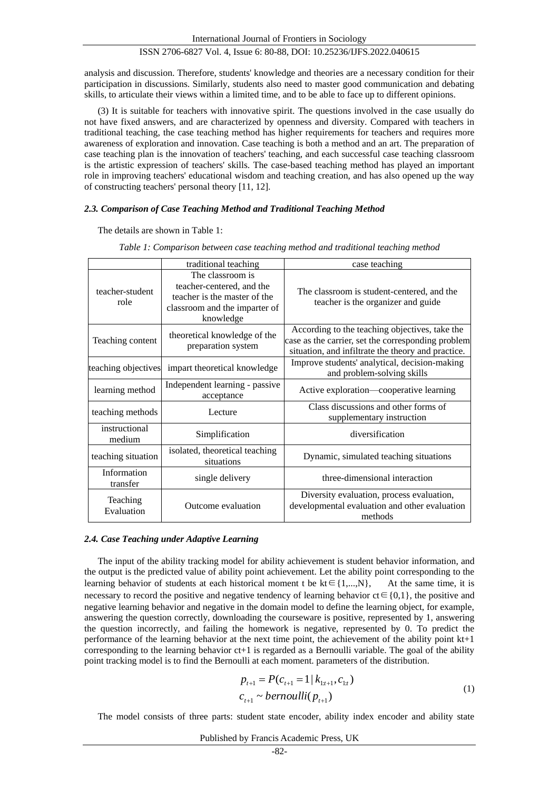International Journal of Frontiers in Sociology

## ISSN 2706-6827 Vol. 4, Issue 6: 80-88, DOI: 10.25236/IJFS.2022.040615

analysis and discussion. Therefore, students' knowledge and theories are a necessary condition for their participation in discussions. Similarly, students also need to master good communication and debating skills, to articulate their views within a limited time, and to be able to face up to different opinions.

(3) It is suitable for teachers with innovative spirit. The questions involved in the case usually do not have fixed answers, and are characterized by openness and diversity. Compared with teachers in traditional teaching, the case teaching method has higher requirements for teachers and requires more awareness of exploration and innovation. Case teaching is both a method and an art. The preparation of case teaching plan is the innovation of teachers' teaching, and each successful case teaching classroom is the artistic expression of teachers' skills. The case-based teaching method has played an important role in improving teachers' educational wisdom and teaching creation, and has also opened up the way of constructing teachers' personal theory [11, 12].

#### *2.3. Comparison of Case Teaching Method and Traditional Teaching Method*

The details are shown in Table 1:

|                         | traditional teaching                                                                                                        | case teaching                                                                                                                                              |  |  |
|-------------------------|-----------------------------------------------------------------------------------------------------------------------------|------------------------------------------------------------------------------------------------------------------------------------------------------------|--|--|
| teacher-student<br>role | The classroom is<br>teacher-centered, and the<br>teacher is the master of the<br>classroom and the imparter of<br>knowledge | The classroom is student-centered, and the<br>teacher is the organizer and guide                                                                           |  |  |
| Teaching content        | theoretical knowledge of the<br>preparation system                                                                          | According to the teaching objectives, take the<br>case as the carrier, set the corresponding problem<br>situation, and infiltrate the theory and practice. |  |  |
| teaching objectives     | impart theoretical knowledge                                                                                                | Improve students' analytical, decision-making<br>and problem-solving skills                                                                                |  |  |
| learning method         | Independent learning - passive<br>acceptance                                                                                | Active exploration—cooperative learning                                                                                                                    |  |  |
| teaching methods        | Lecture                                                                                                                     | Class discussions and other forms of<br>supplementary instruction                                                                                          |  |  |
| instructional<br>medium | Simplification                                                                                                              | diversification                                                                                                                                            |  |  |
| teaching situation      | isolated, theoretical teaching<br>situations                                                                                | Dynamic, simulated teaching situations                                                                                                                     |  |  |
| Information<br>transfer | single delivery                                                                                                             | three-dimensional interaction                                                                                                                              |  |  |
| Teaching<br>Evaluation  | Outcome evaluation                                                                                                          | Diversity evaluation, process evaluation,<br>developmental evaluation and other evaluation<br>methods                                                      |  |  |

*Table 1: Comparison between case teaching method and traditional teaching method*

#### *2.4. Case Teaching under Adaptive Learning*

The input of the ability tracking model for ability achievement is student behavior information, and the output is the predicted value of ability point achievement. Let the ability point corresponding to the learning behavior of students at each historical moment t be  $kt \in \{1,...,N\}$ , At the same time, it is necessary to record the positive and negative tendency of learning behavior  $ct \in \{0,1\}$ , the positive and negative learning behavior and negative in the domain model to define the learning object, for example, answering the question correctly, downloading the courseware is positive, represented by 1, answering the question incorrectly, and failing the homework is negative, represented by 0. To predict the performance of the learning behavior at the next time point, the achievement of the ability point kt+1 corresponding to the learning behavior ct+1 is regarded as a Bernoulli variable. The goal of the ability point tracking model is to find the Bernoulli at each moment. parameters of the distribution.

$$
p_{t+1} = P(c_{t+1} = 1 | k_{1:t+1}, c_{1:t})
$$
  
\n
$$
c_{t+1} \sim bernoulli(p_{t+1})
$$
\n(1)

The model consists of three parts: student state encoder, ability index encoder and ability state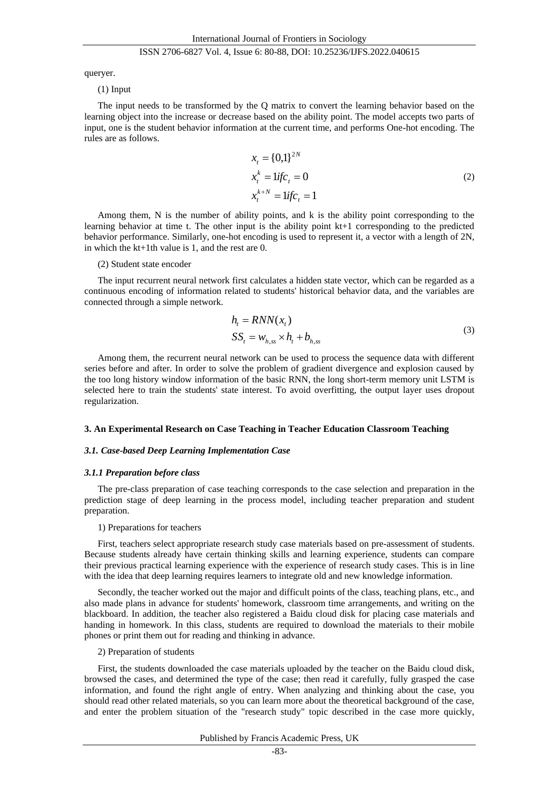queryer.

(1) Input

The input needs to be transformed by the Q matrix to convert the learning behavior based on the learning object into the increase or decrease based on the ability point. The model accepts two parts of input, one is the student behavior information at the current time, and performs One-hot encoding. The rules are as follows.

$$
x_{t} = \{0,1\}^{2N}
$$
  
\n
$$
x_{t}^{k} = 1 \text{if } c_{t} = 0
$$
  
\n
$$
x_{t}^{k+N} = 1 \text{if } c_{t} = 1
$$
\n(2)

Among them, N is the number of ability points, and k is the ability point corresponding to the learning behavior at time t. The other input is the ability point kt+1 corresponding to the predicted behavior performance. Similarly, one-hot encoding is used to represent it, a vector with a length of 2N, in which the kt+1th value is 1, and the rest are 0.

#### (2) Student state encoder

The input recurrent neural network first calculates a hidden state vector, which can be regarded as a continuous encoding of information related to students' historical behavior data, and the variables are connected through a simple network.

$$
h_t = RNN(x_t)
$$
  
\n
$$
SS_t = w_{h,ss} \times h_t + b_{h,ss}
$$
\n(3)

Among them, the recurrent neural network can be used to process the sequence data with different series before and after. In order to solve the problem of gradient divergence and explosion caused by the too long history window information of the basic RNN, the long short-term memory unit LSTM is selected here to train the students' state interest. To avoid overfitting, the output layer uses dropout regularization.

, ,

#### **3. An Experimental Research on Case Teaching in Teacher Education Classroom Teaching**

#### *3.1. Case-based Deep Learning Implementation Case*

#### *3.1.1 Preparation before class*

The pre-class preparation of case teaching corresponds to the case selection and preparation in the prediction stage of deep learning in the process model, including teacher preparation and student preparation.

# 1) Preparations for teachers

First, teachers select appropriate research study case materials based on pre-assessment of students. Because students already have certain thinking skills and learning experience, students can compare their previous practical learning experience with the experience of research study cases. This is in line with the idea that deep learning requires learners to integrate old and new knowledge information.

Secondly, the teacher worked out the major and difficult points of the class, teaching plans, etc., and also made plans in advance for students' homework, classroom time arrangements, and writing on the blackboard. In addition, the teacher also registered a Baidu cloud disk for placing case materials and handing in homework. In this class, students are required to download the materials to their mobile phones or print them out for reading and thinking in advance.

#### 2) Preparation of students

First, the students downloaded the case materials uploaded by the teacher on the Baidu cloud disk, browsed the cases, and determined the type of the case; then read it carefully, fully grasped the case information, and found the right angle of entry. When analyzing and thinking about the case, you should read other related materials, so you can learn more about the theoretical background of the case, and enter the problem situation of the "research study" topic described in the case more quickly,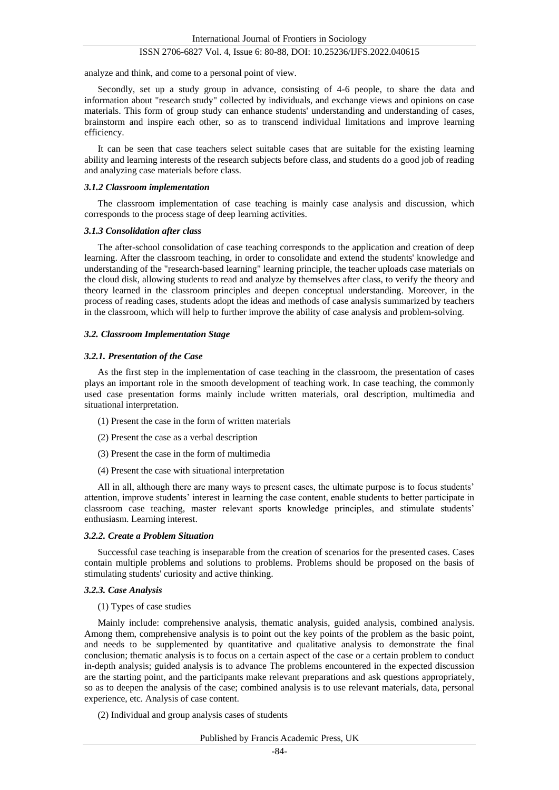analyze and think, and come to a personal point of view.

Secondly, set up a study group in advance, consisting of 4-6 people, to share the data and information about "research study" collected by individuals, and exchange views and opinions on case materials. This form of group study can enhance students' understanding and understanding of cases, brainstorm and inspire each other, so as to transcend individual limitations and improve learning efficiency.

It can be seen that case teachers select suitable cases that are suitable for the existing learning ability and learning interests of the research subjects before class, and students do a good job of reading and analyzing case materials before class.

#### *3.1.2 Classroom implementation*

The classroom implementation of case teaching is mainly case analysis and discussion, which corresponds to the process stage of deep learning activities.

#### *3.1.3 Consolidation after class*

The after-school consolidation of case teaching corresponds to the application and creation of deep learning. After the classroom teaching, in order to consolidate and extend the students' knowledge and understanding of the "research-based learning" learning principle, the teacher uploads case materials on the cloud disk, allowing students to read and analyze by themselves after class, to verify the theory and theory learned in the classroom principles and deepen conceptual understanding. Moreover, in the process of reading cases, students adopt the ideas and methods of case analysis summarized by teachers in the classroom, which will help to further improve the ability of case analysis and problem-solving.

#### *3.2. Classroom Implementation Stage*

# *3.2.1. Presentation of the Case*

As the first step in the implementation of case teaching in the classroom, the presentation of cases plays an important role in the smooth development of teaching work. In case teaching, the commonly used case presentation forms mainly include written materials, oral description, multimedia and situational interpretation.

- (1) Present the case in the form of written materials
- (2) Present the case as a verbal description
- (3) Present the case in the form of multimedia
- (4) Present the case with situational interpretation

All in all, although there are many ways to present cases, the ultimate purpose is to focus students' attention, improve students' interest in learning the case content, enable students to better participate in classroom case teaching, master relevant sports knowledge principles, and stimulate students' enthusiasm. Learning interest.

#### *3.2.2. Create a Problem Situation*

Successful case teaching is inseparable from the creation of scenarios for the presented cases. Cases contain multiple problems and solutions to problems. Problems should be proposed on the basis of stimulating students' curiosity and active thinking.

# *3.2.3. Case Analysis*

#### (1) Types of case studies

Mainly include: comprehensive analysis, thematic analysis, guided analysis, combined analysis. Among them, comprehensive analysis is to point out the key points of the problem as the basic point, and needs to be supplemented by quantitative and qualitative analysis to demonstrate the final conclusion; thematic analysis is to focus on a certain aspect of the case or a certain problem to conduct in-depth analysis; guided analysis is to advance The problems encountered in the expected discussion are the starting point, and the participants make relevant preparations and ask questions appropriately, so as to deepen the analysis of the case; combined analysis is to use relevant materials, data, personal experience, etc. Analysis of case content.

(2) Individual and group analysis cases of students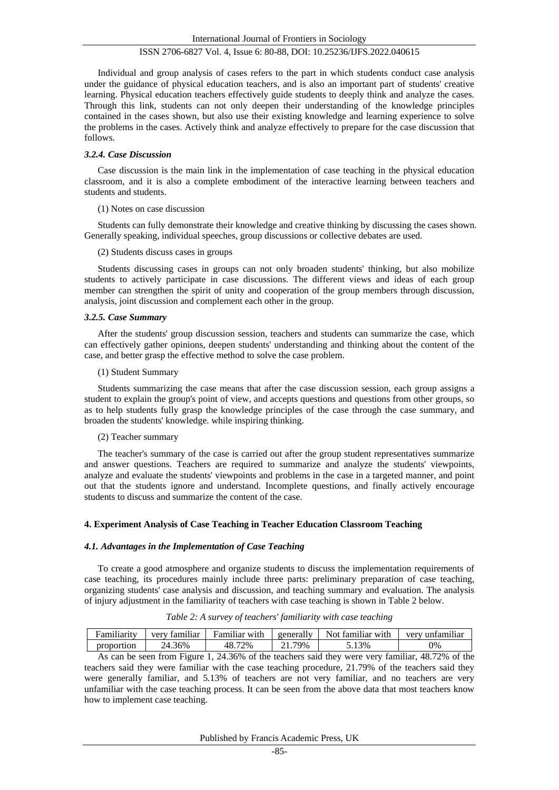Individual and group analysis of cases refers to the part in which students conduct case analysis under the guidance of physical education teachers, and is also an important part of students' creative learning. Physical education teachers effectively guide students to deeply think and analyze the cases. Through this link, students can not only deepen their understanding of the knowledge principles contained in the cases shown, but also use their existing knowledge and learning experience to solve the problems in the cases. Actively think and analyze effectively to prepare for the case discussion that follows.

#### *3.2.4. Case Discussion*

Case discussion is the main link in the implementation of case teaching in the physical education classroom, and it is also a complete embodiment of the interactive learning between teachers and students and students.

#### (1) Notes on case discussion

Students can fully demonstrate their knowledge and creative thinking by discussing the cases shown. Generally speaking, individual speeches, group discussions or collective debates are used.

#### (2) Students discuss cases in groups

Students discussing cases in groups can not only broaden students' thinking, but also mobilize students to actively participate in case discussions. The different views and ideas of each group member can strengthen the spirit of unity and cooperation of the group members through discussion, analysis, joint discussion and complement each other in the group.

#### *3.2.5. Case Summary*

After the students' group discussion session, teachers and students can summarize the case, which can effectively gather opinions, deepen students' understanding and thinking about the content of the case, and better grasp the effective method to solve the case problem.

#### (1) Student Summary

Students summarizing the case means that after the case discussion session, each group assigns a student to explain the group's point of view, and accepts questions and questions from other groups, so as to help students fully grasp the knowledge principles of the case through the case summary, and broaden the students' knowledge. while inspiring thinking.

## (2) Teacher summary

The teacher's summary of the case is carried out after the group student representatives summarize and answer questions. Teachers are required to summarize and analyze the students' viewpoints, analyze and evaluate the students' viewpoints and problems in the case in a targeted manner, and point out that the students ignore and understand. Incomplete questions, and finally actively encourage students to discuss and summarize the content of the case.

# **4. Experiment Analysis of Case Teaching in Teacher Education Classroom Teaching**

#### *4.1. Advantages in the Implementation of Case Teaching*

To create a good atmosphere and organize students to discuss the implementation requirements of case teaching, its procedures mainly include three parts: preliminary preparation of case teaching, organizing students' case analysis and discussion, and teaching summary and evaluation. The analysis of injury adjustment in the familiarity of teachers with case teaching is shown in Table 2 below.

| <br>Familiarity | $\cdots$<br>very<br>tamılıar | <br>Hamiliar<br>with    | 11<br>generally | Not<br>with<br>tamılıar | <br>unfamılıar<br>verv          |  |
|-----------------|------------------------------|-------------------------|-----------------|-------------------------|---------------------------------|--|
| proportion      | 24.36%                       | 72%<br>$\Omega$<br>тı : | 79%             | 3%<br>.                 | 0%                              |  |
|                 | $- \cdot$<br>                | .                       |                 | -<br>.                  | $\sim$ $\sim$ $\sim$<br>.<br>-- |  |

*Table 2: A survey of teachers' familiarity with case teaching*

As can be seen from Figure 1, 24.36% of the teachers said they were very familiar, 48.72% of the teachers said they were familiar with the case teaching procedure, 21.79% of the teachers said they were generally familiar, and 5.13% of teachers are not very familiar, and no teachers are very unfamiliar with the case teaching process. It can be seen from the above data that most teachers know how to implement case teaching.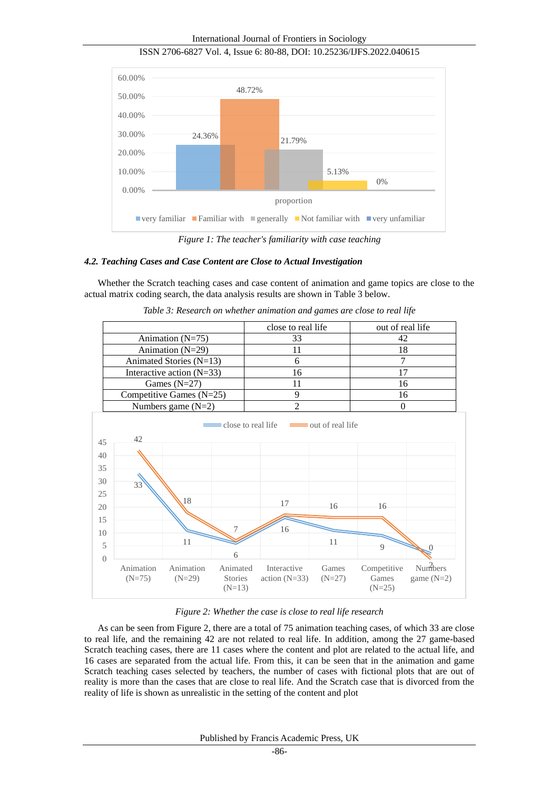International Journal of Frontiers in Sociology



ISSN 2706-6827 Vol. 4, Issue 6: 80-88, DOI: 10.25236/IJFS.2022.040615

*Figure 1: The teacher's familiarity with case teaching*

# *4.2. Teaching Cases and Case Content are Close to Actual Investigation*

Whether the Scratch teaching cases and case content of animation and game topics are close to the actual matrix coding search, the data analysis results are shown in Table 3 below.



*Table 3: Research on whether animation and games are close to real life*

*Figure 2: Whether the case is close to real life research*

As can be seen from Figure 2, there are a total of 75 animation teaching cases, of which 33 are close to real life, and the remaining 42 are not related to real life. In addition, among the 27 game-based Scratch teaching cases, there are 11 cases where the content and plot are related to the actual life, and 16 cases are separated from the actual life. From this, it can be seen that in the animation and game Scratch teaching cases selected by teachers, the number of cases with fictional plots that are out of reality is more than the cases that are close to real life. And the Scratch case that is divorced from the reality of life is shown as unrealistic in the setting of the content and plot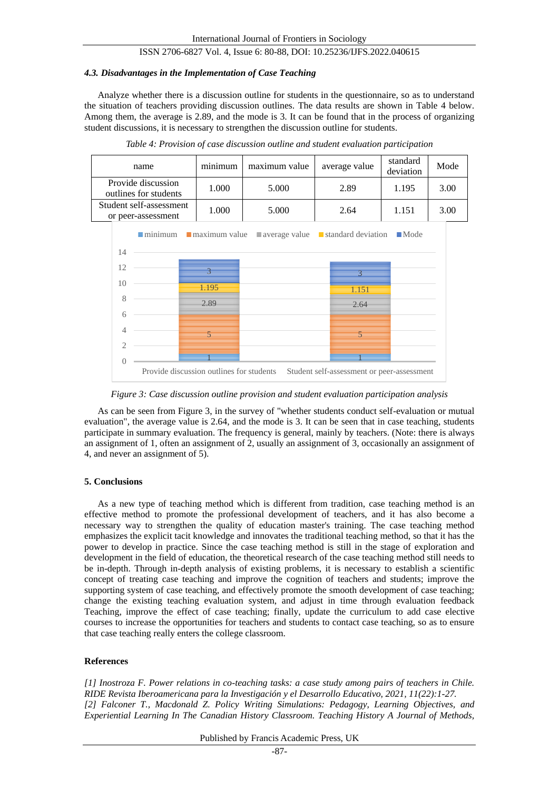## *4.3. Disadvantages in the Implementation of Case Teaching*

Analyze whether there is a discussion outline for students in the questionnaire, so as to understand the situation of teachers providing discussion outlines. The data results are shown in Table 4 below. Among them, the average is 2.89, and the mode is 3. It can be found that in the process of organizing student discussions, it is necessary to strengthen the discussion outline for students.

| name                                          | minimum | maximum value | average value | standard<br>deviation | Mode |
|-----------------------------------------------|---------|---------------|---------------|-----------------------|------|
| Provide discussion<br>outlines for students   | 1.000   | 5.000         | 2.89          | 1.195                 | 3.00 |
| Student self-assessment<br>or peer-assessment | 1.000   | 5.000         | 2.64          | 1.151                 | 3.00 |

*Table 4: Provision of case discussion outline and student evaluation participation*



*Figure 3: Case discussion outline provision and student evaluation participation analysis*

As can be seen from Figure 3, in the survey of "whether students conduct self-evaluation or mutual evaluation", the average value is 2.64, and the mode is 3. It can be seen that in case teaching, students participate in summary evaluation. The frequency is general, mainly by teachers. (Note: there is always an assignment of 1, often an assignment of 2, usually an assignment of 3, occasionally an assignment of 4, and never an assignment of 5).

#### **5. Conclusions**

As a new type of teaching method which is different from tradition, case teaching method is an effective method to promote the professional development of teachers, and it has also become a necessary way to strengthen the quality of education master's training. The case teaching method emphasizes the explicit tacit knowledge and innovates the traditional teaching method, so that it has the power to develop in practice. Since the case teaching method is still in the stage of exploration and development in the field of education, the theoretical research of the case teaching method still needs to be in-depth. Through in-depth analysis of existing problems, it is necessary to establish a scientific concept of treating case teaching and improve the cognition of teachers and students; improve the supporting system of case teaching, and effectively promote the smooth development of case teaching; change the existing teaching evaluation system, and adjust in time through evaluation feedback Teaching, improve the effect of case teaching; finally, update the curriculum to add case elective courses to increase the opportunities for teachers and students to contact case teaching, so as to ensure that case teaching really enters the college classroom.

## **References**

*[1] Inostroza F. Power relations in co-teaching tasks: a case study among pairs of teachers in Chile. RIDE Revista Iberoamericana para la Investigación y el Desarrollo Educativo, 2021, 11(22):1-27. [2] Falconer T., Macdonald Z. Policy Writing Simulations: Pedagogy, Learning Objectives, and Experiential Learning In The Canadian History Classroom. Teaching History A Journal of Methods,*